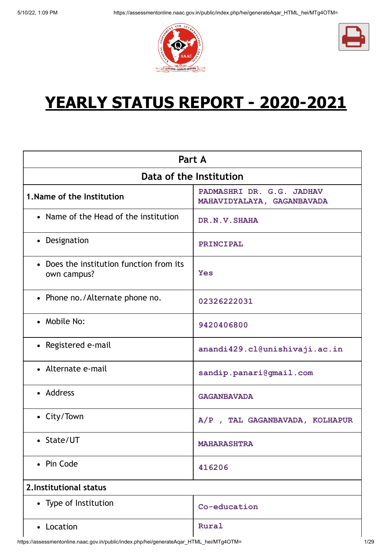



# **YEARLY STATUS REPORT - 2020-2021**

| Part A                                                  |                                                         |  |  |
|---------------------------------------------------------|---------------------------------------------------------|--|--|
| Data of the Institution                                 |                                                         |  |  |
| 1. Name of the Institution                              | PADMASHRI DR. G.G. JADHAV<br>MAHAVIDYALAYA, GAGANBAVADA |  |  |
| • Name of the Head of the institution                   | DR.N.V. SHAHA                                           |  |  |
| • Designation                                           | PRINCIPAL                                               |  |  |
| • Does the institution function from its<br>own campus? | <b>Yes</b>                                              |  |  |
| • Phone no./Alternate phone no.                         | 02326222031                                             |  |  |
| • Mobile No:                                            | 9420406800                                              |  |  |
| • Registered e-mail                                     | anandi429.cl@unishivaji.ac.in                           |  |  |
| • Alternate e-mail                                      | sandip.panari@gmail.com                                 |  |  |
| • Address                                               | <b>GAGANBAVADA</b>                                      |  |  |
| • City/Town                                             | A/P, TAL GAGANBAVADA, KOLHAPUR                          |  |  |
| • State/UT                                              | <b>MAHARASHTRA</b>                                      |  |  |
| • Pin Code                                              | 416206                                                  |  |  |
| 2. Institutional status                                 |                                                         |  |  |
| • Type of Institution                                   | Co-education                                            |  |  |
| • Location                                              | Rural                                                   |  |  |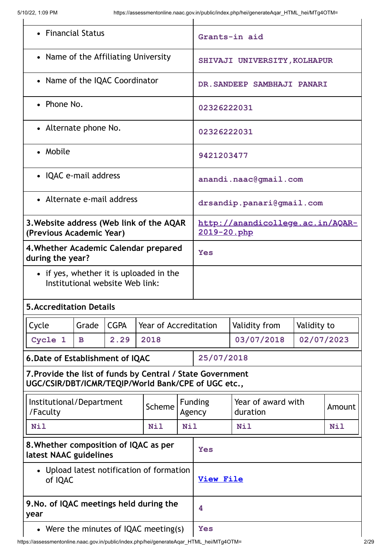| • Financial Status                                                                                                |                                                      |      | Grants-in aid                         |                  |                                                            |                                  |             |  |
|-------------------------------------------------------------------------------------------------------------------|------------------------------------------------------|------|---------------------------------------|------------------|------------------------------------------------------------|----------------------------------|-------------|--|
| • Name of the Affiliating University                                                                              |                                                      |      | SHIVAJI UNIVERSITY, KOLHAPUR          |                  |                                                            |                                  |             |  |
| • Name of the IQAC Coordinator                                                                                    |                                                      |      |                                       |                  |                                                            | DR. SANDEEP SAMBHAJI PANARI      |             |  |
| • Phone No.                                                                                                       |                                                      |      |                                       |                  | 02326222031                                                |                                  |             |  |
| • Alternate phone No.                                                                                             |                                                      |      |                                       |                  | 02326222031                                                |                                  |             |  |
| • Mobile                                                                                                          |                                                      |      |                                       |                  | 9421203477                                                 |                                  |             |  |
| • IQAC e-mail address                                                                                             |                                                      |      |                                       |                  |                                                            | anandi.naac@qmail.com            |             |  |
| • Alternate e-mail address                                                                                        |                                                      |      |                                       |                  |                                                            | drsandip.panari@gmail.com        |             |  |
| 3. Website address (Web link of the AQAR<br>(Previous Academic Year)                                              |                                                      |      |                                       |                  | 2019-20.php                                                | http://anandicollege.ac.in/AQAR- |             |  |
| 4. Whether Academic Calendar prepared<br>during the year?                                                         |                                                      |      | Yes                                   |                  |                                                            |                                  |             |  |
| • if yes, whether it is uploaded in the<br>Institutional website Web link:                                        |                                                      |      |                                       |                  |                                                            |                                  |             |  |
| <b>5. Accreditation Details</b>                                                                                   |                                                      |      |                                       |                  |                                                            |                                  |             |  |
| Cycle                                                                                                             | <b>CGPA</b><br>Grade<br>Year of Accreditation        |      |                                       |                  |                                                            | Validity from                    | Validity to |  |
| Cycle 1                                                                                                           | $\mathbf{B}$                                         | 2.29 | 2018                                  |                  | 03/07/2018<br>02/07/2023                                   |                                  |             |  |
|                                                                                                                   | 6. Date of Establishment of IQAC                     |      |                                       |                  | 25/07/2018                                                 |                                  |             |  |
| 7. Provide the list of funds by Central / State Government<br>UGC/CSIR/DBT/ICMR/TEQIP/World Bank/CPE of UGC etc., |                                                      |      |                                       |                  |                                                            |                                  |             |  |
| Institutional/Department<br>/Faculty                                                                              |                                                      |      | Scheme                                |                  | <b>Funding</b><br>Year of award with<br>Agency<br>duration |                                  | Amount      |  |
| <b>Nil</b>                                                                                                        |                                                      |      | <b>Nil</b>                            |                  | <b>Nil</b><br><b>Nil</b><br><b>Nil</b>                     |                                  |             |  |
| 8. Whether composition of IQAC as per<br>latest NAAC guidelines                                                   |                                                      | Yes  |                                       |                  |                                                            |                                  |             |  |
|                                                                                                                   | • Upload latest notification of formation<br>of IQAC |      |                                       | <b>View File</b> |                                                            |                                  |             |  |
| 9. No. of IQAC meetings held during the<br>year                                                                   |                                                      |      |                                       |                  | 4                                                          |                                  |             |  |
|                                                                                                                   |                                                      |      | • Were the minutes of IQAC meeting(s) |                  | <b>Yes</b>                                                 |                                  |             |  |

 $\mathbf l$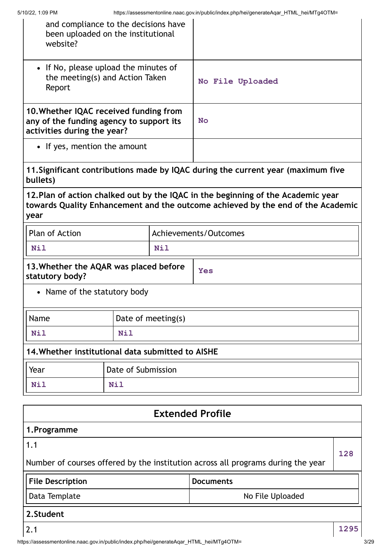| and compliance to the decisions have<br>been uploaded on the institutional<br>website?                            |                    |                    |                                                                                                                                                                     |     |
|-------------------------------------------------------------------------------------------------------------------|--------------------|--------------------|---------------------------------------------------------------------------------------------------------------------------------------------------------------------|-----|
| • If No, please upload the minutes of<br>the meeting(s) and Action Taken<br>Report                                |                    | No File Uploaded   |                                                                                                                                                                     |     |
| 10. Whether IQAC received funding from<br>any of the funding agency to support its<br>activities during the year? |                    | <b>No</b>          |                                                                                                                                                                     |     |
| • If yes, mention the amount                                                                                      |                    |                    |                                                                                                                                                                     |     |
| bullets)                                                                                                          |                    |                    | 11. Significant contributions made by IQAC during the current year (maximum five                                                                                    |     |
| year                                                                                                              |                    |                    | 12. Plan of action chalked out by the IQAC in the beginning of the Academic year<br>towards Quality Enhancement and the outcome achieved by the end of the Academic |     |
| Plan of Action                                                                                                    |                    |                    | <b>Achievements/Outcomes</b>                                                                                                                                        |     |
| <b>Nil</b><br><b>Nil</b>                                                                                          |                    |                    |                                                                                                                                                                     |     |
| 13. Whether the AQAR was placed before<br>statutory body?                                                         |                    |                    | <b>Yes</b>                                                                                                                                                          |     |
| • Name of the statutory body                                                                                      |                    |                    |                                                                                                                                                                     |     |
| Name                                                                                                              |                    | Date of meeting(s) |                                                                                                                                                                     |     |
| <b>Nil</b>                                                                                                        | <b>Nil</b>         |                    |                                                                                                                                                                     |     |
| 14. Whether institutional data submitted to AISHE                                                                 |                    |                    |                                                                                                                                                                     |     |
| Year                                                                                                              | Date of Submission |                    |                                                                                                                                                                     |     |
| <b>Nil</b>                                                                                                        | <b>Nil</b>         |                    |                                                                                                                                                                     |     |
|                                                                                                                   |                    |                    | <b>Extended Profile</b>                                                                                                                                             |     |
| 1. Programme                                                                                                      |                    |                    |                                                                                                                                                                     |     |
| 1.1                                                                                                               |                    |                    |                                                                                                                                                                     |     |
|                                                                                                                   |                    |                    | Number of courses offered by the institution across all programs during the year                                                                                    | 128 |
| <b>File Description</b>                                                                                           |                    |                    | <b>Documents</b>                                                                                                                                                    |     |

Data Template No File Uploaded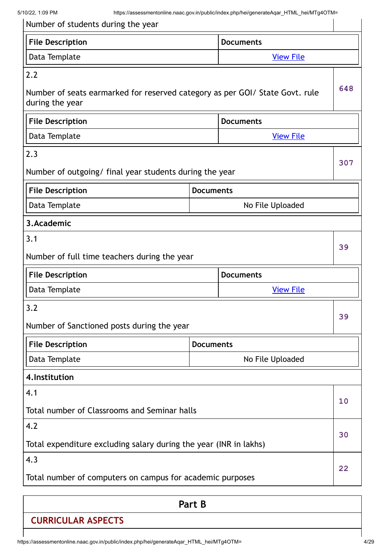| Number of students during the year                                                              |                  |                  |     |
|-------------------------------------------------------------------------------------------------|------------------|------------------|-----|
| <b>File Description</b>                                                                         |                  | <b>Documents</b> |     |
| Data Template                                                                                   | <b>View File</b> |                  |     |
| 2.2                                                                                             |                  |                  |     |
| Number of seats earmarked for reserved category as per GOI/ State Govt. rule<br>during the year |                  |                  | 648 |
| <b>File Description</b>                                                                         |                  | <b>Documents</b> |     |
| Data Template                                                                                   |                  | <b>View File</b> |     |
| 2.3                                                                                             |                  |                  |     |
| Number of outgoing/ final year students during the year                                         |                  |                  | 307 |
| <b>File Description</b>                                                                         | <b>Documents</b> |                  |     |
| Data Template                                                                                   |                  | No File Uploaded |     |
| 3.Academic                                                                                      |                  |                  |     |
| 3.1                                                                                             |                  |                  | 39  |
| Number of full time teachers during the year                                                    |                  |                  |     |
| <b>File Description</b>                                                                         |                  | <b>Documents</b> |     |
| Data Template                                                                                   |                  | <b>View File</b> |     |
| 3.2                                                                                             |                  |                  | 39  |
| Number of Sanctioned posts during the year                                                      |                  |                  |     |
| <b>File Description</b>                                                                         | <b>Documents</b> |                  |     |
| Data Template                                                                                   |                  | No File Uploaded |     |
| 4. Institution                                                                                  |                  |                  |     |
| 4.1                                                                                             |                  |                  | 10  |
| Total number of Classrooms and Seminar halls                                                    |                  |                  |     |
| 4.2                                                                                             |                  |                  |     |
| Total expenditure excluding salary during the year (INR in lakhs)                               |                  |                  | 30  |
| 4.3                                                                                             |                  |                  |     |
| Total number of computers on campus for academic purposes                                       |                  |                  | 22  |

**Part B**

# **CURRICULAR ASPECTS**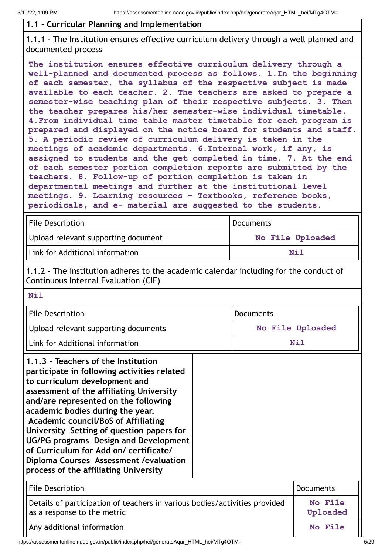#### **1.1 - Curricular Planning and Implementation**

1.1.1 - The Institution ensures effective curriculum delivery through a well planned and documented process

**The institution ensures effective curriculum delivery through a well-planned and documented process as follows. 1.In the beginning of each semester, the syllabus of the respective subject is made available to each teacher. 2. The teachers are asked to prepare a semester-wise teaching plan of their respective subjects. 3. Then the teacher prepares his/her semester-wise individual timetable. 4.From individual time table master timetable for each program is prepared and displayed on the notice board for students and staff. 5. A periodic review of curriculum delivery is taken in the meetings of academic departments. 6.Internal work, if any, is assigned to students and the get completed in time. 7. At the end of each semester portion completion reports are submitted by the teachers. 8. Follow-up of portion completion is taken in departmental meetings and further at the institutional level meetings. 9. Learning resources – Textbooks, reference books, periodicals, and e- material are suggested to the students.**

| <b>File Description</b>             | <b>Documents</b> |
|-------------------------------------|------------------|
| Upload relevant supporting document | No File Uploaded |
| Link for Additional information     | Nil              |

1.1.2 - The institution adheres to the academic calendar including for the conduct of Continuous Internal Evaluation (CIE)

| Nil                                                                                                                                                                                                                                                                                                                                                                                                                                                                                                           |                     |  |
|---------------------------------------------------------------------------------------------------------------------------------------------------------------------------------------------------------------------------------------------------------------------------------------------------------------------------------------------------------------------------------------------------------------------------------------------------------------------------------------------------------------|---------------------|--|
| <b>File Description</b>                                                                                                                                                                                                                                                                                                                                                                                                                                                                                       | <b>Documents</b>    |  |
| Upload relevant supporting documents                                                                                                                                                                                                                                                                                                                                                                                                                                                                          | No File Uploaded    |  |
| Link for Additional information                                                                                                                                                                                                                                                                                                                                                                                                                                                                               | <b>Nil</b>          |  |
| 1.1.3 - Teachers of the Institution<br>participate in following activities related<br>to curriculum development and<br>assessment of the affiliating University<br>and/are represented on the following<br>academic bodies during the year.<br><b>Academic council/BoS of Affiliating</b><br>University Setting of question papers for<br>UG/PG programs Design and Development<br>of Curriculum for Add on/ certificate/<br>Diploma Courses Assessment / evaluation<br>process of the affiliating University |                     |  |
| <b>File Description</b>                                                                                                                                                                                                                                                                                                                                                                                                                                                                                       | <b>Documents</b>    |  |
| Details of participation of teachers in various bodies/activities provided<br>as a response to the metric                                                                                                                                                                                                                                                                                                                                                                                                     | No File<br>Uploaded |  |
| Any additional information                                                                                                                                                                                                                                                                                                                                                                                                                                                                                    | No File             |  |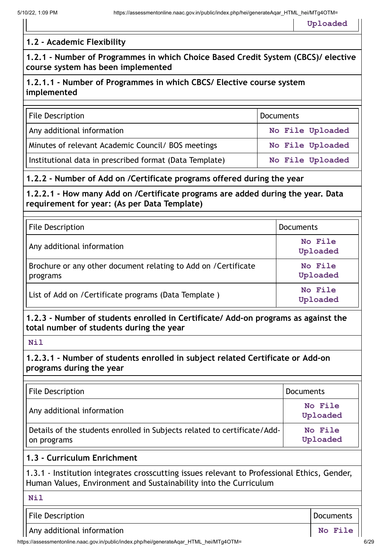**Uploaded**

#### **1.2 - Academic Flexibility**

**1.2.1 - Number of Programmes in which Choice Based Credit System (CBCS)/ elective course system has been implemented**

#### **1.2.1.1 - Number of Programmes in which CBCS/ Elective course system implemented**

| <b>File Description</b>                                 | Documents        |
|---------------------------------------------------------|------------------|
| Any additional information                              | No File Uploaded |
| Minutes of relevant Academic Council / BOS meetings     | No File Uploaded |
| Institutional data in prescribed format (Data Template) | No File Uploaded |

#### **1.2.2 - Number of Add on /Certificate programs offered during the year**

**1.2.2.1 - How many Add on /Certificate programs are added during the year. Data requirement for year: (As per Data Template)**

| <b>File Description</b>                                                     | <b>Documents</b>    |
|-----------------------------------------------------------------------------|---------------------|
| Any additional information                                                  | No File<br>Uploaded |
| Brochure or any other document relating to Add on / Certificate<br>programs | No File<br>Uploaded |
| List of Add on / Certificate programs (Data Template)                       | No File<br>Uploaded |

#### **1.2.3 - Number of students enrolled in Certificate/ Add-on programs as against the total number of students during the year**

**1.2.3.1 - Number of students enrolled in subject related Certificate or Add-on programs during the year**

| <b>File Description</b>                                                                 | Documents           |
|-----------------------------------------------------------------------------------------|---------------------|
| Any additional information                                                              | No File<br>Uploaded |
| Details of the students enrolled in Subjects related to certificate/Add-<br>on programs | No File<br>Uploaded |

#### **1.3 - Curriculum Enrichment**

1.3.1 - Institution integrates crosscutting issues relevant to Professional Ethics, Gender, Human Values, Environment and Sustainability into the Curriculum

**Nil**

File Description **Documents** 

Any additional information **No. 2018 No. 2018 No. 2018 No. 2018 No. 2018** 

**Nil**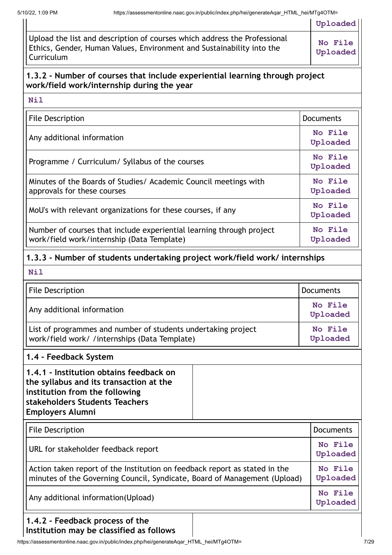**Uploaded**

| Upload the list and description of courses which address the Professional<br>Ethics, Gender, Human Values, Environment and Sustainability into the<br>Curriculum | <b>No File</b><br>Uploaded |
|------------------------------------------------------------------------------------------------------------------------------------------------------------------|----------------------------|

#### **1.3.2 - Number of courses that include experiential learning through project work/field work/internship during the year**

| File Description                                                                                                   | <b>Documents</b>    |
|--------------------------------------------------------------------------------------------------------------------|---------------------|
| Any additional information                                                                                         | No File<br>Uploaded |
| Programme / Curriculum/ Syllabus of the courses                                                                    | No File<br>Uploaded |
| Minutes of the Boards of Studies/ Academic Council meetings with<br>approvals for these courses                    | No File<br>Uploaded |
| MoU's with relevant organizations for these courses, if any                                                        | No File<br>Uploaded |
| Number of courses that include experiential learning through project<br>work/field work/internship (Data Template) | No File<br>Uploaded |

# **1.3.3 - Number of students undertaking project work/field work/ internships**

| Nil                                                                                                                                                                               |  |                     |
|-----------------------------------------------------------------------------------------------------------------------------------------------------------------------------------|--|---------------------|
| <b>File Description</b>                                                                                                                                                           |  | <b>Documents</b>    |
| Any additional information                                                                                                                                                        |  | No File<br>Uploaded |
| List of programmes and number of students undertaking project<br>work/field work/ /internships (Data Template)                                                                    |  | No File<br>Uploaded |
| 1.4 - Feedback System                                                                                                                                                             |  |                     |
| 1.4.1 - Institution obtains feedback on<br>the syllabus and its transaction at the<br>institution from the following<br>stakeholders Students Teachers<br><b>Employers Alumni</b> |  |                     |
| <b>File Description</b>                                                                                                                                                           |  | <b>Documents</b>    |
| URL for stakeholder feedback report                                                                                                                                               |  | No File<br>Uploaded |
| Action taken report of the Institution on feedback report as stated in the<br>minutes of the Governing Council, Syndicate, Board of Management (Upload)                           |  | No File<br>Uploaded |
| Any additional information(Upload)                                                                                                                                                |  | No File<br>Uploaded |
| 1.4.2 - Feedback process of the<br>a mar ha alassifiad as fallaw                                                                                                                  |  |                     |

**Institution may be classified as follows** $\mathsf{l}$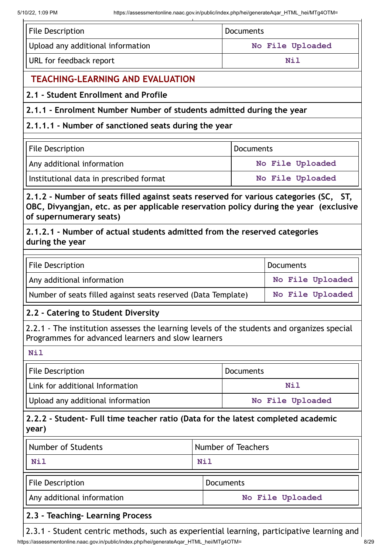| <b>File Description</b>                                                                                                                                                                                   |                                                                                                                                                  | <b>Documents</b> |                  |  |
|-----------------------------------------------------------------------------------------------------------------------------------------------------------------------------------------------------------|--------------------------------------------------------------------------------------------------------------------------------------------------|------------------|------------------|--|
| Upload any additional information                                                                                                                                                                         |                                                                                                                                                  |                  | No File Uploaded |  |
| URL for feedback report                                                                                                                                                                                   |                                                                                                                                                  | <b>Nil</b>       |                  |  |
| <b>TEACHING-LEARNING AND EVALUATION</b>                                                                                                                                                                   |                                                                                                                                                  |                  |                  |  |
| 2.1 - Student Enrollment and Profile                                                                                                                                                                      |                                                                                                                                                  |                  |                  |  |
| 2.1.1 - Enrolment Number Number of students admitted during the year                                                                                                                                      |                                                                                                                                                  |                  |                  |  |
| 2.1.1.1 - Number of sanctioned seats during the year                                                                                                                                                      |                                                                                                                                                  |                  |                  |  |
| <b>File Description</b>                                                                                                                                                                                   | Documents                                                                                                                                        |                  |                  |  |
| Any additional information                                                                                                                                                                                |                                                                                                                                                  |                  | No File Uploaded |  |
| Institutional data in prescribed format                                                                                                                                                                   |                                                                                                                                                  |                  | No File Uploaded |  |
| 2.1.2 - Number of seats filled against seats reserved for various categories (SC, ST,<br>OBC, Divyangjan, etc. as per applicable reservation policy during the year (exclusive<br>of supernumerary seats) |                                                                                                                                                  |                  |                  |  |
| 2.1.2.1 - Number of actual students admitted from the reserved categories<br>during the year                                                                                                              |                                                                                                                                                  |                  |                  |  |
| <b>File Description</b><br><b>Documents</b>                                                                                                                                                               |                                                                                                                                                  |                  |                  |  |
| Any additional information                                                                                                                                                                                |                                                                                                                                                  |                  | No File Uploaded |  |
| Number of seats filled against seats reserved (Data Template)                                                                                                                                             |                                                                                                                                                  |                  | No File Uploaded |  |
| 2.2 - Catering to Student Diversity                                                                                                                                                                       |                                                                                                                                                  |                  |                  |  |
|                                                                                                                                                                                                           | 2.2.1 - The institution assesses the learning levels of the students and organizes special<br>Programmes for advanced learners and slow learners |                  |                  |  |
| <b>Nil</b>                                                                                                                                                                                                |                                                                                                                                                  |                  |                  |  |
| <b>File Description</b>                                                                                                                                                                                   |                                                                                                                                                  | Documents        |                  |  |
| Link for additional Information                                                                                                                                                                           |                                                                                                                                                  |                  | <b>Nil</b>       |  |
| Upload any additional information                                                                                                                                                                         |                                                                                                                                                  |                  | No File Uploaded |  |
| 2.2.2 - Student- Full time teacher ratio (Data for the latest completed academic<br>year)                                                                                                                 |                                                                                                                                                  |                  |                  |  |
| <b>Number of Students</b>                                                                                                                                                                                 | Number of Teachers                                                                                                                               |                  |                  |  |
| <b>Nil</b>                                                                                                                                                                                                | <b>Nil</b>                                                                                                                                       |                  |                  |  |
| <b>File Description</b>                                                                                                                                                                                   |                                                                                                                                                  | Documents        |                  |  |
| Any additional information<br>No File Uploaded                                                                                                                                                            |                                                                                                                                                  |                  |                  |  |
| 2.3 - Teaching- Learning Process                                                                                                                                                                          |                                                                                                                                                  |                  |                  |  |

https://assessmentonline.naac.gov.in/public/index.php/hei/generateAqar\_HTML\_hei/MTg4OTM= 8/29  $\vert$  2.3.1 - Student centric methods, such as experiential learning, participative learning and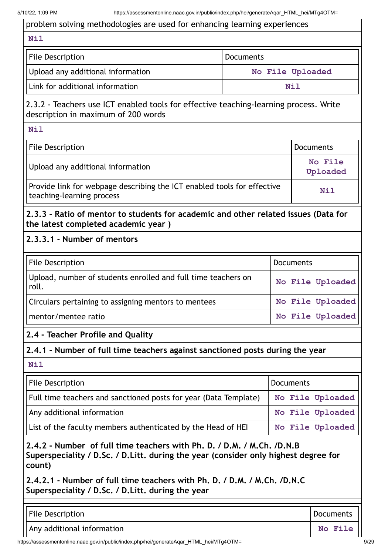# problem solving methodologies are used for enhancing learning experiences **Nil** File Description **Documents** Upload any additional information **No File Uploaded** Link for additional information **Nil** 2.3.2 - Teachers use ICT enabled tools for effective teaching-learning process. Write description in maximum of 200 words **Nil** File Description **Documents** Upload any additional information **No No File Uploaded** Provide link for webpage describing the ICT enabled tools for effective<br>teaching-learning process **2.3.3 - Ratio of mentor to students for academic and other related issues (Data for the latest completed academic year ) 2.3.3.1 - Number of mentors**  File Description **Documents** Upload, number of students enrolled and full time teachers on roll. **No File Uploaded** Circulars pertaining to assigning mentors to mentees **No File Uploaded** mentor/mentee ratio **No File Uploaded 2.4 - Teacher Profile and Quality 2.4.1 - Number of full time teachers against sanctioned posts during the year Nil** File Description **Documents Documents** Full time teachers and sanctioned posts for year (Data Template) | No File Uploaded Any additional information **No File Uploaded** List of the faculty members authenticated by the Head of HEI  $\blacksquare$  No File Uploaded **2.4.2 - Number of full time teachers with Ph. D. / D.M. / M.Ch. /D.N.B Superspeciality / D.Sc. / D.Litt. during the year (consider only highest degree for count) 2.4.2.1 - Number of full time teachers with Ph. D. / D.M. / M.Ch. /D.N.C Superspeciality / D.Sc. / D.Litt. during the year** File Description **Documents** Any additional information **No. 2018 No. 2018 No. 2018 No. 2018 No. 2018**

https://assessmentonline.naac.gov.in/public/index.php/hei/generateAqar\_HTML\_hei/MTg4OTM= 9/29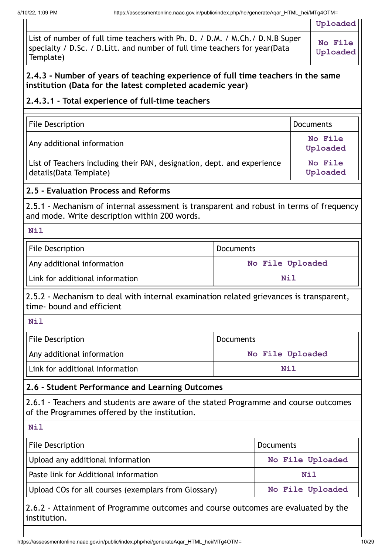|                                                                                                                                               | abbobbinontonino.naav.gov.in/pabilo/inaox.php/no/gonolato/tqar=1                                                                                                             | Uploaded                                                                                                                                                                                                                                                                                                                                          |  |
|-----------------------------------------------------------------------------------------------------------------------------------------------|------------------------------------------------------------------------------------------------------------------------------------------------------------------------------|---------------------------------------------------------------------------------------------------------------------------------------------------------------------------------------------------------------------------------------------------------------------------------------------------------------------------------------------------|--|
|                                                                                                                                               |                                                                                                                                                                              | No File<br>Uploaded                                                                                                                                                                                                                                                                                                                               |  |
| 2.4.3 - Number of years of teaching experience of full time teachers in the same<br>institution (Data for the latest completed academic year) |                                                                                                                                                                              |                                                                                                                                                                                                                                                                                                                                                   |  |
|                                                                                                                                               |                                                                                                                                                                              |                                                                                                                                                                                                                                                                                                                                                   |  |
|                                                                                                                                               |                                                                                                                                                                              | <b>Documents</b>                                                                                                                                                                                                                                                                                                                                  |  |
|                                                                                                                                               |                                                                                                                                                                              | No File<br>Uploaded                                                                                                                                                                                                                                                                                                                               |  |
|                                                                                                                                               |                                                                                                                                                                              | No File<br>Uploaded                                                                                                                                                                                                                                                                                                                               |  |
|                                                                                                                                               |                                                                                                                                                                              |                                                                                                                                                                                                                                                                                                                                                   |  |
|                                                                                                                                               |                                                                                                                                                                              |                                                                                                                                                                                                                                                                                                                                                   |  |
|                                                                                                                                               |                                                                                                                                                                              |                                                                                                                                                                                                                                                                                                                                                   |  |
| Documents                                                                                                                                     |                                                                                                                                                                              |                                                                                                                                                                                                                                                                                                                                                   |  |
|                                                                                                                                               | No File Uploaded                                                                                                                                                             |                                                                                                                                                                                                                                                                                                                                                   |  |
|                                                                                                                                               | Nil                                                                                                                                                                          |                                                                                                                                                                                                                                                                                                                                                   |  |
|                                                                                                                                               |                                                                                                                                                                              |                                                                                                                                                                                                                                                                                                                                                   |  |
|                                                                                                                                               |                                                                                                                                                                              |                                                                                                                                                                                                                                                                                                                                                   |  |
| <b>Documents</b>                                                                                                                              |                                                                                                                                                                              |                                                                                                                                                                                                                                                                                                                                                   |  |
|                                                                                                                                               | No File Uploaded                                                                                                                                                             |                                                                                                                                                                                                                                                                                                                                                   |  |
|                                                                                                                                               | <b>Nil</b>                                                                                                                                                                   |                                                                                                                                                                                                                                                                                                                                                   |  |
|                                                                                                                                               |                                                                                                                                                                              |                                                                                                                                                                                                                                                                                                                                                   |  |
| 2.6 - Student Performance and Learning Outcomes                                                                                               |                                                                                                                                                                              |                                                                                                                                                                                                                                                                                                                                                   |  |
| 2.6.1 - Teachers and students are aware of the stated Programme and course outcomes                                                           |                                                                                                                                                                              |                                                                                                                                                                                                                                                                                                                                                   |  |
|                                                                                                                                               |                                                                                                                                                                              |                                                                                                                                                                                                                                                                                                                                                   |  |
| Documents                                                                                                                                     |                                                                                                                                                                              |                                                                                                                                                                                                                                                                                                                                                   |  |
|                                                                                                                                               |                                                                                                                                                                              | No File Uploaded                                                                                                                                                                                                                                                                                                                                  |  |
|                                                                                                                                               | <b>Nil</b>                                                                                                                                                                   |                                                                                                                                                                                                                                                                                                                                                   |  |
|                                                                                                                                               | 2.4.3.1 - Total experience of full-time teachers<br>List of Teachers including their PAN, designation, dept. and experience<br>and mode. Write description within 200 words. | List of number of full time teachers with Ph. D. / D.M. / M.Ch. / D.N.B Super<br>specialty / D.Sc. / D.Litt. and number of full time teachers for year(Data<br>2.5.1 - Mechanism of internal assessment is transparent and robust in terms of frequency<br>2.5.2 - Mechanism to deal with internal examination related grievances is transparent, |  |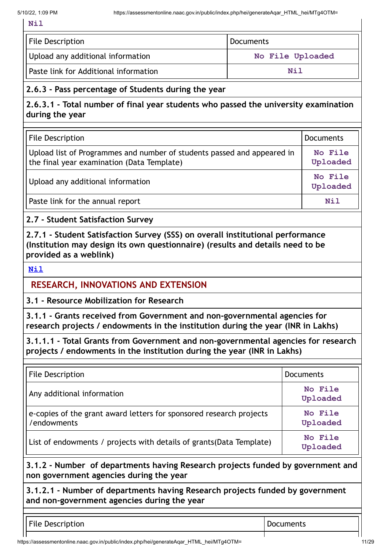**Nil**

| File Description                      | Documents        |
|---------------------------------------|------------------|
| Upload any additional information     | No File Uploaded |
| Paste link for Additional information | Nil              |

#### **2.6.3 - Pass percentage of Students during the year**

**2.6.3.1 - Total number of final year students who passed the university examination during the year**

| <b>File Description</b>                                                                                               | Documents           |
|-----------------------------------------------------------------------------------------------------------------------|---------------------|
| Upload list of Programmes and number of students passed and appeared in<br>the final year examination (Data Template) | No File<br>Uploaded |
| Upload any additional information                                                                                     | No File<br>Uploaded |
| Paste link for the annual report                                                                                      | Nil                 |

**2.7 - Student Satisfaction Survey**

**2.7.1 - Student Satisfaction Survey (SSS) on overall institutional performance (Institution may design its own questionnaire) (results and details need to be provided as a weblink)**

**[Nil](https://assessmentonline.naac.gov.in/public/index.php/hei/generateAqar_HTML_hei/Nil)**

#### **RESEARCH, INNOVATIONS AND EXTENSION**

**3.1 - Resource Mobilization for Research**

**3.1.1 - Grants received from Government and non-governmental agencies for research projects / endowments in the institution during the year (INR in Lakhs)**

**3.1.1.1 - Total Grants from Government and non-governmental agencies for research projects / endowments in the institution during the year (INR in Lakhs)**

| <b>File Description</b>                                                            | <b>Documents</b>    |
|------------------------------------------------------------------------------------|---------------------|
| Any additional information                                                         | No File<br>Uploaded |
| e-copies of the grant award letters for sponsored research projects<br>/endowments | No File<br>Uploaded |
| List of endowments / projects with details of grants (Data Template)               | No File<br>Uploaded |

**3.1.2 - Number of departments having Research projects funded by government and non government agencies during the year**

**3.1.2.1 - Number of departments having Research projects funded by government and non-government agencies during the year**

File Description **Documents Documents**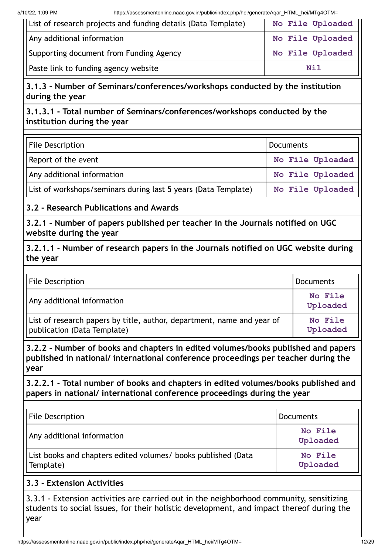| List of research projects and funding details (Data Template) | No File Uploaded |
|---------------------------------------------------------------|------------------|
| Any additional information                                    | No File Uploaded |
| Supporting document from Funding Agency                       | No File Uploaded |
| Paste link to funding agency website                          | Nil              |

# **3.1.3 - Number of Seminars/conferences/workshops conducted by the institution during the year**

#### **3.1.3.1 - Total number of Seminars/conferences/workshops conducted by the institution during the year**

| <b>File Description</b>                                        | Documents        |
|----------------------------------------------------------------|------------------|
| Report of the event                                            | No File Uploaded |
| Any additional information                                     | No File Uploaded |
| List of workshops/seminars during last 5 years (Data Template) | No File Uploaded |

## **3.2 - Research Publications and Awards**

**3.2.1 - Number of papers published per teacher in the Journals notified on UGC website during the year**

**3.2.1.1 - Number of research papers in the Journals notified on UGC website during the year**

| <b>File Description</b>                                                                               | <b>Documents</b>    |
|-------------------------------------------------------------------------------------------------------|---------------------|
| Any additional information                                                                            | No File<br>Uploaded |
| List of research papers by title, author, department, name and year of<br>publication (Data Template) | No File<br>Uploaded |

**3.2.2 - Number of books and chapters in edited volumes/books published and papers published in national/ international conference proceedings per teacher during the year**

**3.2.2.1 - Total number of books and chapters in edited volumes/books published and papers in national/ international conference proceedings during the year**

| <b>File Description</b>                                                    | <b>Documents</b>    |
|----------------------------------------------------------------------------|---------------------|
| Any additional information                                                 | No File<br>Uploaded |
| List books and chapters edited volumes/ books published (Data<br>Template) | No File<br>Uploaded |

#### **3.3 - Extension Activities**

3.3.1 - Extension activities are carried out in the neighborhood community, sensitizing students to social issues, for their holistic development, and impact thereof during the year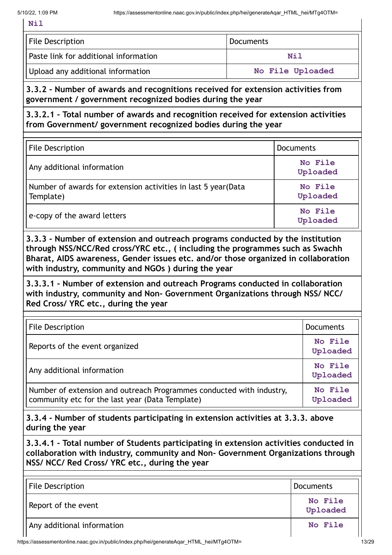| File Description                      | <b>Documents</b> |
|---------------------------------------|------------------|
| Paste link for additional information | Nil              |
| Upload any additional information     | No File Uploaded |

**3.3.2 - Number of awards and recognitions received for extension activities from government / government recognized bodies during the year**

**3.3.2.1 - Total number of awards and recognition received for extension activities from Government/ government recognized bodies during the year**

| <b>File Description</b>                                                     | <b>Documents</b>    |
|-----------------------------------------------------------------------------|---------------------|
| Any additional information                                                  | No File<br>Uploaded |
| Number of awards for extension activities in last 5 year (Data<br>Template) | No File<br>Uploaded |
| e-copy of the award letters                                                 | No File<br>Uploaded |

**3.3.3 - Number of extension and outreach programs conducted by the institution through NSS/NCC/Red cross/YRC etc., ( including the programmes such as Swachh Bharat, AIDS awareness, Gender issues etc. and/or those organized in collaboration with industry, community and NGOs ) during the year**

**3.3.3.1 - Number of extension and outreach Programs conducted in collaboration with industry, community and Non- Government Organizations through NSS/ NCC/ Red Cross/ YRC etc., during the year**

| <b>File Description</b>                                                                                                 | <b>Documents</b>    |
|-------------------------------------------------------------------------------------------------------------------------|---------------------|
| Reports of the event organized                                                                                          | No File<br>Uploaded |
| Any additional information                                                                                              | No File<br>Uploaded |
| Number of extension and outreach Programmes conducted with industry,<br>community etc for the last year (Data Template) | No File<br>Uploaded |

**3.3.4 - Number of students participating in extension activities at 3.3.3. above during the year**

**3.3.4.1 - Total number of Students participating in extension activities conducted in collaboration with industry, community and Non- Government Organizations through NSS/ NCC/ Red Cross/ YRC etc., during the year**

| File Description           | Documents           |
|----------------------------|---------------------|
| Report of the event        | No File<br>Uploaded |
| Any additional information | No File             |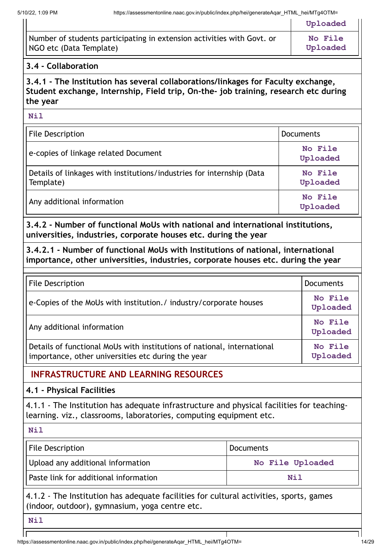|                                                                        | Uploaded       |
|------------------------------------------------------------------------|----------------|
| Number of students participating in extension activities with Govt. or | <b>No File</b> |
| NGO etc (Data Template)                                                | Uploaded       |

#### **3.4 - Collaboration**

**3.4.1 - The Institution has several collaborations/linkages for Faculty exchange, Student exchange, Internship, Field trip, On-the- job training, research etc during the year**

**Nil**

| File Description                                                                   | <b>Documents</b>    |
|------------------------------------------------------------------------------------|---------------------|
| e-copies of linkage related Document                                               | No File<br>Uploaded |
| Details of linkages with institutions/industries for internship (Data<br>Template) | No File<br>Uploaded |
| Any additional information                                                         | No File<br>Uploaded |

**3.4.2 - Number of functional MoUs with national and international institutions, universities, industries, corporate houses etc. during the year**

**3.4.2.1 - Number of functional MoUs with Institutions of national, international importance, other universities, industries, corporate houses etc. during the year**

| <b>File Description</b>                                                                                                       | <b>Documents</b>    |
|-------------------------------------------------------------------------------------------------------------------------------|---------------------|
| e-Copies of the MoUs with institution./ industry/corporate houses                                                             | No File<br>Uploaded |
| Any additional information                                                                                                    | No File<br>Uploaded |
| Details of functional MoUs with institutions of national, international<br>importance, other universities etc during the year | No File<br>Uploaded |

# **INFRASTRUCTURE AND LEARNING RESOURCES**

#### **4.1 - Physical Facilities**

4.1.1 - The Institution has adequate infrastructure and physical facilities for teachinglearning. viz., classrooms, laboratories, computing equipment etc.

**Nil**

| File Description                      | Documents        |  |
|---------------------------------------|------------------|--|
| Upload any additional information     | No File Uploaded |  |
| Paste link for additional information | Nil              |  |

4.1.2 - The Institution has adequate facilities for cultural activities, sports, games (indoor, outdoor), gymnasium, yoga centre etc.

**Nil**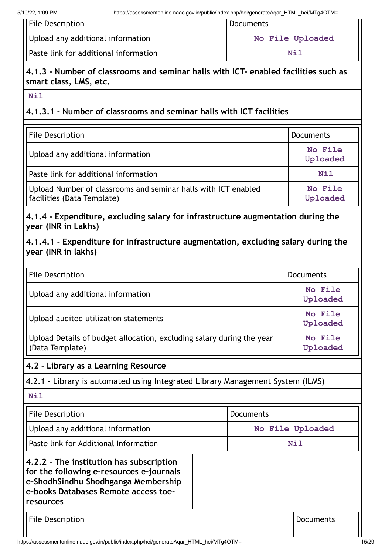| File Description                      | Documents        |
|---------------------------------------|------------------|
| Upload any additional information     | No File Uploaded |
| Paste link for additional information | Nil              |

#### **4.1.3 - Number of classrooms and seminar halls with ICT- enabled facilities such as smart class, LMS, etc.**

**Nil**

#### **4.1.3.1 - Number of classrooms and seminar halls with ICT facilities**

| File Description                                                                             | <b>Documents</b>    |
|----------------------------------------------------------------------------------------------|---------------------|
| Upload any additional information                                                            | No File<br>Uploaded |
| Paste link for additional information                                                        | <b>Nil</b>          |
| Upload Number of classrooms and seminar halls with ICT enabled<br>facilities (Data Template) | No File<br>Uploaded |

**4.1.4 - Expenditure, excluding salary for infrastructure augmentation during the year (INR in Lakhs)**

**4.1.4.1 - Expenditure for infrastructure augmentation, excluding salary during the year (INR in lakhs)**

| <b>File Description</b>                                                                  | Documents           |
|------------------------------------------------------------------------------------------|---------------------|
| Upload any additional information                                                        | No File<br>Uploaded |
| Upload audited utilization statements                                                    | No File<br>Uploaded |
| Upload Details of budget allocation, excluding salary during the year<br>(Data Template) | No File<br>Uploaded |

#### **4.2 - Library as a Learning Resource**

4.2.1 - Library is automated using Integrated Library Management System (ILMS)

**Nil**

| File Description                                                                                                                                                                 | <b>Documents</b> |
|----------------------------------------------------------------------------------------------------------------------------------------------------------------------------------|------------------|
| Upload any additional information                                                                                                                                                | No File Uploaded |
| Paste link for Additional Information                                                                                                                                            | <b>Nil</b>       |
| 4.2.2 - The institution has subscription<br>for the following e-resources e-journals<br>e-ShodhSindhu Shodhganga Membership<br>e-books Databases Remote access toe-<br>resources |                  |
| <b>File Description</b>                                                                                                                                                          | Documents        |

Ш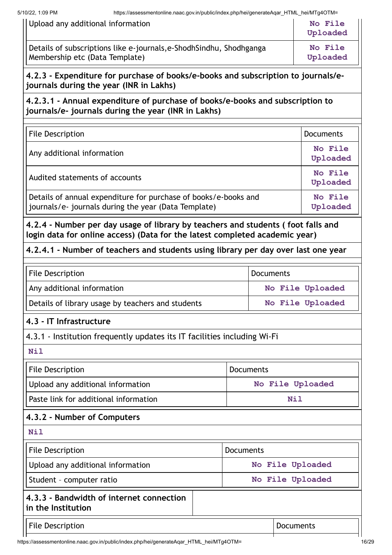| 4.2.3 - Expenditure for purchase of books/e-books and subscription to journals/e- |                                                                                                        |                     |
|-----------------------------------------------------------------------------------|--------------------------------------------------------------------------------------------------------|---------------------|
|                                                                                   | Details of subscriptions like e-journals, e-Shodh Sindhu, Shodhganga<br>Membership etc (Data Template) | No File<br>Uploaded |
|                                                                                   | Upload any additional information                                                                      | No File<br>Uploaded |

**4.2.3.1 - Annual expenditure of purchase of books/e-books and subscription to journals/e- journals during the year (INR in Lakhs)**

**journals during the year (INR in Lakhs)**

| <b>File Description</b>                                                                                                 | <b>Documents</b>    |
|-------------------------------------------------------------------------------------------------------------------------|---------------------|
| Any additional information                                                                                              | No File<br>Uploaded |
| Audited statements of accounts                                                                                          | No File<br>Uploaded |
| Details of annual expenditure for purchase of books/e-books and<br>journals/e- journals during the year (Data Template) | No File<br>Uploaded |

**4.2.4 - Number per day usage of library by teachers and students ( foot falls and login data for online access) (Data for the latest completed academic year)**

#### **4.2.4.1 - Number of teachers and students using library per day over last one year**

| <b>File Description</b>                           | <b>Documents</b> |  |
|---------------------------------------------------|------------------|--|
| Any additional information                        | No File Uploaded |  |
| Details of library usage by teachers and students | No File Uploaded |  |

#### **4.3 - IT Infrastructure**

4.3.1 - Institution frequently updates its IT facilities including Wi-Fi

| - | - - |
|---|-----|
|   |     |

| <b>File Description</b><br><b>Documents</b>                    |                  |                  |
|----------------------------------------------------------------|------------------|------------------|
| Upload any additional information                              |                  | No File Uploaded |
| Paste link for additional information                          |                  | Nil              |
| 4.3.2 - Number of Computers                                    |                  |                  |
| <b>Nil</b>                                                     |                  |                  |
| <b>File Description</b>                                        | <b>Documents</b> |                  |
| Upload any additional information                              |                  | No File Uploaded |
| Student - computer ratio<br>No File Uploaded                   |                  |                  |
| 4.3.3 - Bandwidth of internet connection<br>in the Institution |                  |                  |
| <b>File Description</b>                                        |                  | <b>Documents</b> |
|                                                                |                  |                  |

https://assessmentonline.naac.gov.in/public/index.php/hei/generateAqar\_HTML\_hei/MTg4OTM= 16/29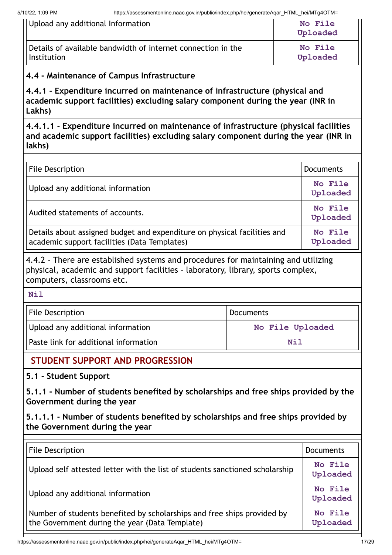| Upload any additional Information                            | No File<br>Uploaded |
|--------------------------------------------------------------|---------------------|
| Details of available bandwidth of internet connection in the | <b>No File</b>      |
| Institution                                                  | Uploaded            |

# **4.4 - Maintenance of Campus Infrastructure**

**4.4.1 - Expenditure incurred on maintenance of infrastructure (physical and academic support facilities) excluding salary component during the year (INR in Lakhs)**

**4.4.1.1 - Expenditure incurred on maintenance of infrastructure (physical facilities and academic support facilities) excluding salary component during the year (INR in lakhs)**

| <b>File Description</b>                                                                                                  | <b>Documents</b>    |
|--------------------------------------------------------------------------------------------------------------------------|---------------------|
| Upload any additional information                                                                                        | No File<br>Uploaded |
| Audited statements of accounts.                                                                                          | No File<br>Uploaded |
| Details about assigned budget and expenditure on physical facilities and<br>academic support facilities (Data Templates) | No File<br>Uploaded |

4.4.2 - There are established systems and procedures for maintaining and utilizing physical, academic and support facilities - laboratory, library, sports complex, computers, classrooms etc.

#### **Nil**

| <b>File Description</b>               | Documents        |  |
|---------------------------------------|------------------|--|
| Upload any additional information     | No File Uploaded |  |
| Paste link for additional information | Nil              |  |

# **STUDENT SUPPORT AND PROGRESSION**

**5.1 - Student Support**

**5.1.1 - Number of students benefited by scholarships and free ships provided by the Government during the year**

**5.1.1.1 - Number of students benefited by scholarships and free ships provided by the Government during the year**

| <b>File Description</b>                                                                                                   | <b>Documents</b>    |
|---------------------------------------------------------------------------------------------------------------------------|---------------------|
| Upload self attested letter with the list of students sanctioned scholarship                                              | No File<br>Uploaded |
| Upload any additional information                                                                                         | No File<br>Uploaded |
| Number of students benefited by scholarships and free ships provided by<br>the Government during the year (Data Template) | No File<br>Uploaded |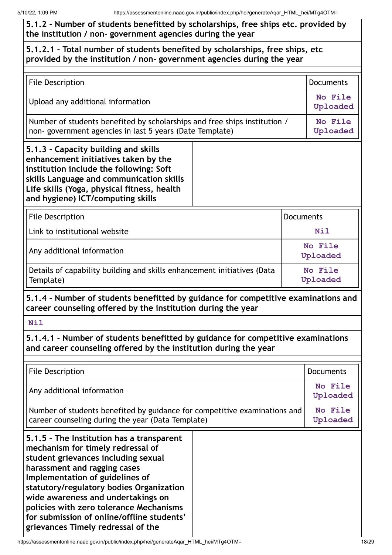#### **5.1.2 - Number of students benefitted by scholarships, free ships etc. provided by the institution / non- government agencies during the year**

#### **5.1.2.1 - Total number of students benefited by scholarships, free ships, etc provided by the institution / non- government agencies during the year**

| File Description                                                                                                                                                                                                                                        |  | <b>Documents</b>    |
|---------------------------------------------------------------------------------------------------------------------------------------------------------------------------------------------------------------------------------------------------------|--|---------------------|
| Upload any additional information                                                                                                                                                                                                                       |  | No File<br>Uploaded |
| Number of students benefited by scholarships and free ships institution /<br>non-government agencies in last 5 years (Date Template)                                                                                                                    |  | No File<br>Uploaded |
| 5.1.3 - Capacity building and skills<br>enhancement initiatives taken by the<br>institution include the following: Soft<br>skills Language and communication skills<br>Life skills (Yoga, physical fitness, health<br>and hygiene) ICT/computing skills |  |                     |
| <b>File Description</b>                                                                                                                                                                                                                                 |  | Documents           |

| File Description                                                                     | <b>Documents</b>    |
|--------------------------------------------------------------------------------------|---------------------|
| Link to institutional website                                                        | Nil                 |
| Any additional information                                                           | No File<br>Uploaded |
| Details of capability building and skills enhancement initiatives (Data<br>Template) | No File<br>Uploaded |

**5.1.4 - Number of students benefitted by guidance for competitive examinations and career counseling offered by the institution during the year**

**Nil**

**5.1.4.1 - Number of students benefitted by guidance for competitive examinations and career counseling offered by the institution during the year**

| <b>File Description</b>                                                                                                                                                                                                                                                                                                                                                                                   |  | <b>Documents</b>    |
|-----------------------------------------------------------------------------------------------------------------------------------------------------------------------------------------------------------------------------------------------------------------------------------------------------------------------------------------------------------------------------------------------------------|--|---------------------|
| Any additional information                                                                                                                                                                                                                                                                                                                                                                                |  | No File<br>Uploaded |
| Number of students benefited by guidance for competitive examinations and<br>career counseling during the year (Data Template)                                                                                                                                                                                                                                                                            |  | No File<br>Uploaded |
| 5.1.5 - The Institution has a transparent<br>mechanism for timely redressal of<br>student grievances including sexual<br>harassment and ragging cases<br>Implementation of guidelines of<br>statutory/regulatory bodies Organization<br>wide awareness and undertakings on<br>policies with zero tolerance Mechanisms<br>for submission of online/offline students'<br>grievances Timely redressal of the |  |                     |

https://assessmentonline.naac.gov.in/public/index.php/hei/generateAqar\_HTML\_hei/MTg4OTM= 18/29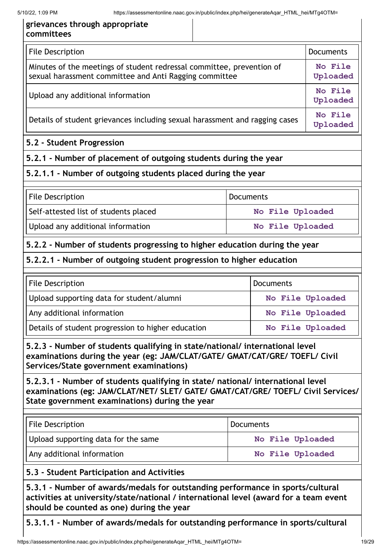$\mathbf{r}$ 

 $\mathbf{r}$ 

| grievances through appropriate<br>committees                                                                                                                                                                          |  |                     |                     |
|-----------------------------------------------------------------------------------------------------------------------------------------------------------------------------------------------------------------------|--|---------------------|---------------------|
| <b>File Description</b>                                                                                                                                                                                               |  |                     | <b>Documents</b>    |
| Minutes of the meetings of student redressal committee, prevention of<br>sexual harassment committee and Anti Ragging committee                                                                                       |  | No File<br>Uploaded |                     |
| Upload any additional information                                                                                                                                                                                     |  |                     | No File<br>Uploaded |
| Details of student grievances including sexual harassment and ragging cases                                                                                                                                           |  |                     | No File<br>Uploaded |
| 5.2 - Student Progression                                                                                                                                                                                             |  |                     |                     |
| 5.2.1 - Number of placement of outgoing students during the year                                                                                                                                                      |  |                     |                     |
| 5.2.1.1 - Number of outgoing students placed during the year                                                                                                                                                          |  |                     |                     |
| <b>File Description</b>                                                                                                                                                                                               |  | <b>Documents</b>    |                     |
| Self-attested list of students placed                                                                                                                                                                                 |  | No File Uploaded    |                     |
| Upload any additional information                                                                                                                                                                                     |  | No File Uploaded    |                     |
| 5.2.2 - Number of students progressing to higher education during the year                                                                                                                                            |  |                     |                     |
| 5.2.2.1 - Number of outgoing student progression to higher education                                                                                                                                                  |  |                     |                     |
| <b>File Description</b>                                                                                                                                                                                               |  | <b>Documents</b>    |                     |
| Upload supporting data for student/alumni<br>No File Uploaded                                                                                                                                                         |  |                     |                     |
| Any additional information<br>No File Uploaded                                                                                                                                                                        |  |                     |                     |
| Details of student progression to higher education<br>No File Uploaded                                                                                                                                                |  |                     |                     |
| 5.2.3 - Number of students qualifying in state/national/ international level<br>examinations during the year (eg: JAM/CLAT/GATE/ GMAT/CAT/GRE/ TOEFL/ Civil<br>Services/State government examinations)                |  |                     |                     |
| 5.2.3.1 - Number of students qualifying in state/ national/ international level<br>examinations (eg: JAM/CLAT/NET/ SLET/ GATE/ GMAT/CAT/GRE/ TOEFL/ Civil Services/<br>State government examinations) during the year |  |                     |                     |
| <b>File Description</b>                                                                                                                                                                                               |  | <b>Documents</b>    |                     |
| Upload supporting data for the same                                                                                                                                                                                   |  | No File Uploaded    |                     |
| Any additional information                                                                                                                                                                                            |  | No File Uploaded    |                     |
| 5.3 - Student Participation and Activities                                                                                                                                                                            |  |                     |                     |
| 5.3.1 - Number of awards/medals for outstanding performance in sports/cultural<br>activities at university/state/national / international level (award for a team event<br>should be counted as one) during the year  |  |                     |                     |

**5.3.1.1 - Number of awards/medals for outstanding performance in sports/cultural**

 $\mathbf{r}$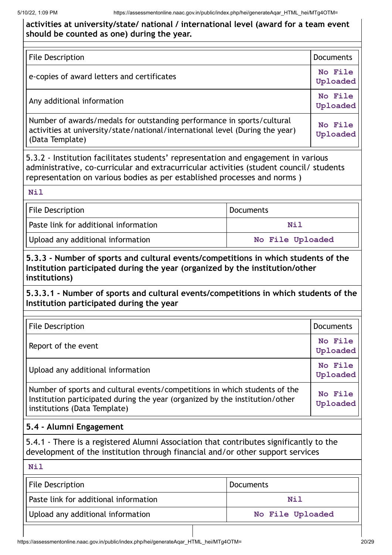#### **activities at university/state/ national / international level (award for a team event should be counted as one) during the year.**

| File Description                                                                                                                                                           | <b>Documents</b>    |
|----------------------------------------------------------------------------------------------------------------------------------------------------------------------------|---------------------|
| e-copies of award letters and certificates                                                                                                                                 | No File<br>Uploaded |
| Any additional information                                                                                                                                                 | No File<br>Uploaded |
| Number of awards/medals for outstanding performance in sports/cultural<br>activities at university/state/national/international level (During the year)<br>(Data Template) | No File<br>Uploaded |

5.3.2 - Institution facilitates students' representation and engagement in various administrative, co-curricular and extracurricular activities (student council/ students representation on various bodies as per established processes and norms )

#### **Nil**

| File Description                      | <b>Documents</b> |
|---------------------------------------|------------------|
| Paste link for additional information | Nil              |
| Upload any additional information     | No File Uploaded |

**5.3.3 - Number of sports and cultural events/competitions in which students of the Institution participated during the year (organized by the institution/other institutions)**

**5.3.3.1 - Number of sports and cultural events/competitions in which students of the Institution participated during the year**

| <b>File Description</b>                                                                                                                                                                    | <b>Documents</b>    |
|--------------------------------------------------------------------------------------------------------------------------------------------------------------------------------------------|---------------------|
| Report of the event                                                                                                                                                                        | No File<br>Uploaded |
| Upload any additional information                                                                                                                                                          | No File<br>Uploaded |
| Number of sports and cultural events/competitions in which students of the<br>Institution participated during the year (organized by the institution/other<br>institutions (Data Template) | No File<br>Uploaded |

#### **5.4 - Alumni Engagement**

5.4.1 - There is a registered Alumni Association that contributes significantly to the development of the institution through financial and/or other support services

#### **Nil**

| <b>File Description</b>               | <b>Documents</b> |
|---------------------------------------|------------------|
| Paste link for additional information | Nil              |
| Upload any additional information     | No File Uploaded |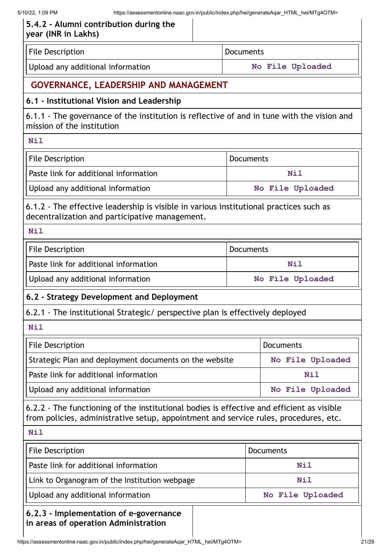| <b>File Description</b>                                                                                                                                                           | <b>Documents</b> |                  |  |
|-----------------------------------------------------------------------------------------------------------------------------------------------------------------------------------|------------------|------------------|--|
| Upload any additional information                                                                                                                                                 |                  | No File Uploaded |  |
| <b>GOVERNANCE, LEADERSHIP AND MANAGEMENT</b>                                                                                                                                      |                  |                  |  |
| 6.1 - Institutional Vision and Leadership                                                                                                                                         |                  |                  |  |
| 6.1.1 - The governance of the institution is reflective of and in tune with the vision and<br>mission of the institution                                                          |                  |                  |  |
| <b>Nil</b>                                                                                                                                                                        |                  |                  |  |
| <b>File Description</b>                                                                                                                                                           | <b>Documents</b> |                  |  |
| Paste link for additional information                                                                                                                                             |                  | <b>Nil</b>       |  |
| Upload any additional information                                                                                                                                                 | No File Uploaded |                  |  |
| 6.1.2 - The effective leadership is visible in various institutional practices such as<br>decentralization and participative management.                                          |                  |                  |  |
| <b>Nil</b>                                                                                                                                                                        |                  |                  |  |
| <b>File Description</b>                                                                                                                                                           | <b>Documents</b> |                  |  |
| Paste link for additional information                                                                                                                                             |                  | <b>Nil</b>       |  |
| Upload any additional information                                                                                                                                                 |                  | No File Uploaded |  |
| 6.2 - Strategy Development and Deployment                                                                                                                                         |                  |                  |  |
| 6.2.1 - The institutional Strategic/ perspective plan is effectively deployed                                                                                                     |                  |                  |  |
| Nil                                                                                                                                                                               |                  |                  |  |
| <b>File Description</b>                                                                                                                                                           |                  | <b>Documents</b> |  |
| Strategic Plan and deployment documents on the website                                                                                                                            |                  | No File Uploaded |  |
| Paste link for additional information                                                                                                                                             |                  | <b>Nil</b>       |  |
| Upload any additional information                                                                                                                                                 |                  | No File Uploaded |  |
| 6.2.2 - The functioning of the institutional bodies is effective and efficient as visible<br>from policies, administrative setup, appointment and service rules, procedures, etc. |                  |                  |  |
| <b>Nil</b>                                                                                                                                                                        |                  |                  |  |
| <b>File Description</b>                                                                                                                                                           |                  | <b>Documents</b> |  |
| Paste link for additional information                                                                                                                                             |                  | <b>Nil</b>       |  |
| Link to Organogram of the Institution webpage                                                                                                                                     |                  | <b>Nil</b>       |  |
|                                                                                                                                                                                   |                  |                  |  |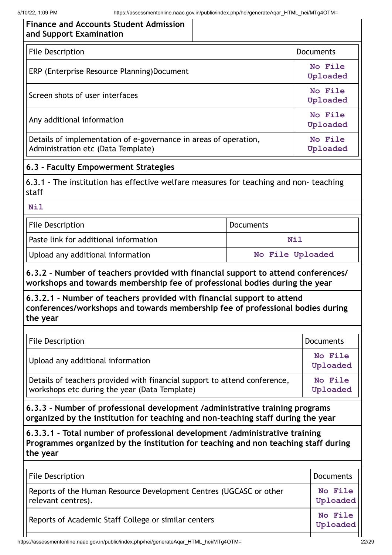| <b>Finance and Accounts Student Admission</b> |  |
|-----------------------------------------------|--|
| and Support Examination                       |  |

| <b>File Description</b>                                                                                | <b>Documents</b>    |
|--------------------------------------------------------------------------------------------------------|---------------------|
| ERP (Enterprise Resource Planning)Document                                                             | No File<br>Uploaded |
| Screen shots of user interfaces                                                                        | No File<br>Uploaded |
| Any additional information                                                                             | No File<br>Uploaded |
| Details of implementation of e-governance in areas of operation,<br>Administration etc (Data Template) | No File<br>Uploaded |

#### **6.3 - Faculty Empowerment Strategies**

6.3.1 - The institution has effective welfare measures for teaching and non- teaching staff

#### **Nil**

| <b>File Description</b>               | <b>Documents</b> |  |
|---------------------------------------|------------------|--|
| Paste link for additional information | Nil              |  |
| Upload any additional information     | No File Uploaded |  |

**6.3.2 - Number of teachers provided with financial support to attend conferences/ workshops and towards membership fee of professional bodies during the year**

#### **6.3.2.1 - Number of teachers provided with financial support to attend conferences/workshops and towards membership fee of professional bodies during the year**

| File Description                                                                                                           | <b>Documents</b>    |
|----------------------------------------------------------------------------------------------------------------------------|---------------------|
| Upload any additional information                                                                                          | No File<br>Uploaded |
| Details of teachers provided with financial support to attend conference,<br>workshops etc during the year (Data Template) | No File<br>Uploaded |

**6.3.3 - Number of professional development /administrative training programs organized by the institution for teaching and non-teaching staff during the year**

**6.3.3.1 - Total number of professional development /administrative training Programmes organized by the institution for teaching and non teaching staff during the year**

| <b>File Description</b>                                                                  | Documents           |
|------------------------------------------------------------------------------------------|---------------------|
| Reports of the Human Resource Development Centres (UGCASC or other<br>relevant centres). | No File<br>Uploaded |
| Reports of Academic Staff College or similar centers                                     | No File<br>Uploaded |
|                                                                                          |                     |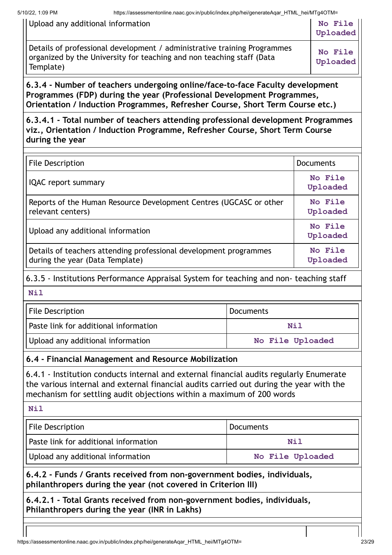| Upload any additional information                                                                                                                              | No File<br>Uploaded |
|----------------------------------------------------------------------------------------------------------------------------------------------------------------|---------------------|
| Details of professional development / administrative training Programmes<br>organized by the University for teaching and non teaching staff (Data<br>Template) | No File<br>Uploaded |

**6.3.4 - Number of teachers undergoing online/face-to-face Faculty development Programmes (FDP) during the year (Professional Development Programmes, Orientation / Induction Programmes, Refresher Course, Short Term Course etc.)**

**6.3.4.1 - Total number of teachers attending professional development Programmes viz., Orientation / Induction Programme, Refresher Course, Short Term Course during the year**

| <b>File Description</b>                                                                              | <b>Documents</b>    |
|------------------------------------------------------------------------------------------------------|---------------------|
| <b>IQAC</b> report summary                                                                           | No File<br>Uploaded |
| Reports of the Human Resource Development Centres (UGCASC or other<br>relevant centers)              | No File<br>Uploaded |
| Upload any additional information                                                                    | No File<br>Uploaded |
| Details of teachers attending professional development programmes<br>during the year (Data Template) | No File<br>Uploaded |

6.3.5 - Institutions Performance Appraisal System for teaching and non- teaching staff

**Nil**

| <b>File Description</b>               | <b>Documents</b> |  |
|---------------------------------------|------------------|--|
| Paste link for additional information | Nil              |  |
| Upload any additional information     | No File Uploaded |  |

#### **6.4 - Financial Management and Resource Mobilization**

6.4.1 - Institution conducts internal and external financial audits regularly Enumerate the various internal and external financial audits carried out during the year with the mechanism for settling audit objections within a maximum of 200 words

**Nil**

| File Description                      | Documents        |  |  |
|---------------------------------------|------------------|--|--|
| Paste link for additional information | Nil              |  |  |
| Upload any additional information     | No File Uploaded |  |  |

**6.4.2 - Funds / Grants received from non-government bodies, individuals, philanthropers during the year (not covered in Criterion III)**

**6.4.2.1 - Total Grants received from non-government bodies, individuals, Philanthropers during the year (INR in Lakhs)**

https://assessmentonline.naac.gov.in/public/index.php/hei/generateAqar\_HTML\_hei/MTg4OTM= 23/29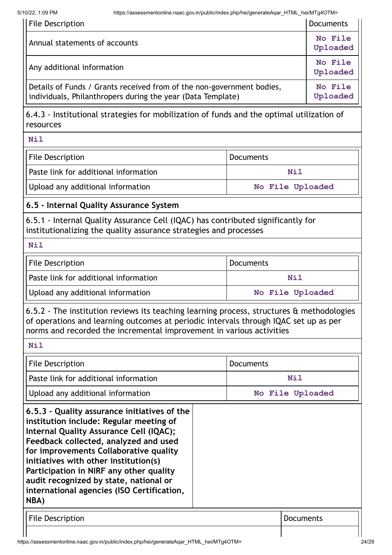| File Description                                                                                                                     | <b>Documents</b>    |
|--------------------------------------------------------------------------------------------------------------------------------------|---------------------|
| Annual statements of accounts                                                                                                        | No File<br>Uploaded |
| Any additional information                                                                                                           | No File<br>Uploaded |
| Details of Funds / Grants received from of the non-government bodies,<br>individuals, Philanthropers during the year (Data Template) | No File<br>Uploaded |
| 6.4.3 - Institutional strategies for mobilization of funds and the optimal utilization of<br>resources                               |                     |
| <b>Nil</b>                                                                                                                           |                     |

| File Description                      | Documents        |  |  |
|---------------------------------------|------------------|--|--|
| Paste link for additional information | Nil              |  |  |
| Upload any additional information     | No File Uploaded |  |  |

#### **6.5 - Internal Quality Assurance System**

6.5.1 - Internal Quality Assurance Cell (IQAC) has contributed significantly for institutionalizing the quality assurance strategies and processes

**Nil**

| <b>File Description</b>               | Documents        |  |  |
|---------------------------------------|------------------|--|--|
| Paste link for additional information | Nil              |  |  |
| Upload any additional information     | No File Uploaded |  |  |

6.5.2 - The institution reviews its teaching learning process, structures & methodologies of operations and learning outcomes at periodic intervals through IQAC set up as per norms and recorded the incremental improvement in various activities

**Nil**

| <b>File Description</b>                                                                                                                                                                                                                                                                                                                                                                                   | Documents        |
|-----------------------------------------------------------------------------------------------------------------------------------------------------------------------------------------------------------------------------------------------------------------------------------------------------------------------------------------------------------------------------------------------------------|------------------|
| Paste link for additional information                                                                                                                                                                                                                                                                                                                                                                     | Nil              |
| Upload any additional information                                                                                                                                                                                                                                                                                                                                                                         | No File Uploaded |
| 6.5.3 - Quality assurance initiatives of the<br>institution include: Regular meeting of<br>Internal Quality Assurance Cell (IQAC);<br>Feedback collected, analyzed and used<br>for improvements Collaborative quality<br>initiatives with other institution(s)<br>Participation in NIRF any other quality<br>audit recognized by state, national or<br>international agencies (ISO Certification,<br>NBA) |                  |
| <b>File Description</b>                                                                                                                                                                                                                                                                                                                                                                                   | Documents        |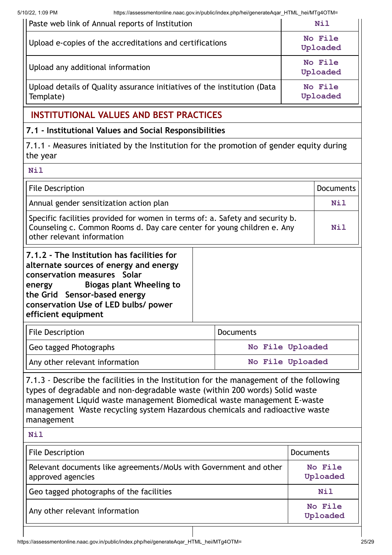5/10/22, 1:09 PM https://assessmentonline.naac.gov.in/public/index.php/hei/generateAqar\_HTML\_hei/MTg4OTM=

| Paste web link of Annual reports of Institution                                       | Nil                 |
|---------------------------------------------------------------------------------------|---------------------|
| Upload e-copies of the accreditations and certifications                              | No File<br>Uploaded |
| Upload any additional information                                                     | No File<br>Uploaded |
| Upload details of Quality assurance initiatives of the institution (Data<br>Template) | No File<br>Uploaded |
|                                                                                       |                     |

# **INSTITUTIONAL VALUES AND BEST PRACTICES**

#### **7.1 - Institutional Values and Social Responsibilities**

7.1.1 - Measures initiated by the Institution for the promotion of gender equity during the year

| <b>Nil</b>                                                                                                                                                                                                                                                      |                  |                  |  |
|-----------------------------------------------------------------------------------------------------------------------------------------------------------------------------------------------------------------------------------------------------------------|------------------|------------------|--|
| <b>File Description</b>                                                                                                                                                                                                                                         |                  | <b>Documents</b> |  |
| Annual gender sensitization action plan                                                                                                                                                                                                                         |                  | Nil              |  |
| Specific facilities provided for women in terms of: a. Safety and security b.<br>Counseling c. Common Rooms d. Day care center for young children e. Any<br>other relevant information                                                                          |                  |                  |  |
| 7.1.2 - The Institution has facilities for<br>alternate sources of energy and energy<br>conservation measures Solar<br><b>Biogas plant Wheeling to</b><br>energy<br>the Grid Sensor-based energy<br>conservation Use of LED bulbs/ power<br>efficient equipment |                  |                  |  |
| <b>File Description</b>                                                                                                                                                                                                                                         | <b>Documents</b> |                  |  |
| Geo tagged Photographs                                                                                                                                                                                                                                          | No File Uploaded |                  |  |
| Any other relevant information                                                                                                                                                                                                                                  | No File Uploaded |                  |  |

7.1.3 - Describe the facilities in the Institution for the management of the following types of degradable and non-degradable waste (within 200 words) Solid waste management Liquid waste management Biomedical waste management E-waste management Waste recycling system Hazardous chemicals and radioactive waste management

| <b>Nil</b>                                                                             |                     |
|----------------------------------------------------------------------------------------|---------------------|
| <b>File Description</b>                                                                | <b>Documents</b>    |
| Relevant documents like agreements/MoUs with Government and other<br>approved agencies | No File<br>Uploaded |
| Geo tagged photographs of the facilities                                               | <b>Nil</b>          |
| Any other relevant information                                                         | No File<br>Uploaded |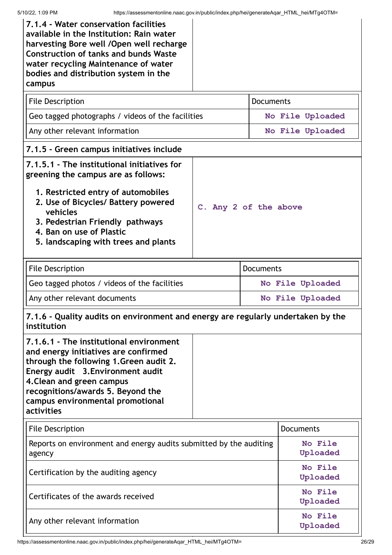| 7.1.4 - Water conservation facilities<br>available in the Institution: Rain water<br>harvesting Bore well / Open well recharge<br><b>Construction of tanks and bunds Waste</b><br>water recycling Maintenance of water<br>bodies and distribution system in the<br>campus          |                       |                  |                     |  |  |
|------------------------------------------------------------------------------------------------------------------------------------------------------------------------------------------------------------------------------------------------------------------------------------|-----------------------|------------------|---------------------|--|--|
| <b>File Description</b>                                                                                                                                                                                                                                                            |                       | <b>Documents</b> |                     |  |  |
| Geo tagged photographs / videos of the facilities                                                                                                                                                                                                                                  |                       |                  | No File Uploaded    |  |  |
| Any other relevant information                                                                                                                                                                                                                                                     |                       |                  | No File Uploaded    |  |  |
| 7.1.5 - Green campus initiatives include                                                                                                                                                                                                                                           |                       |                  |                     |  |  |
| 7.1.5.1 - The institutional initiatives for<br>greening the campus are as follows:<br>1. Restricted entry of automobiles<br>2. Use of Bicycles/ Battery powered<br>vehicles<br>3. Pedestrian Friendly pathways<br>4. Ban on use of Plastic<br>5. landscaping with trees and plants | C. Any 2 of the above |                  |                     |  |  |
| <b>File Description</b>                                                                                                                                                                                                                                                            |                       | <b>Documents</b> |                     |  |  |
| Geo tagged photos / videos of the facilities                                                                                                                                                                                                                                       | No File Uploaded      |                  |                     |  |  |
| Any other relevant documents                                                                                                                                                                                                                                                       |                       | No File Uploaded |                     |  |  |
| 7.1.6 - Quality audits on environment and energy are regularly undertaken by the<br>institution                                                                                                                                                                                    |                       |                  |                     |  |  |
| 7.1.6.1 - The institutional environment<br>and energy initiatives are confirmed<br>through the following 1.Green audit 2.<br>Energy audit 3. Environment audit<br>4. Clean and green campus<br>recognitions/awards 5. Beyond the<br>campus environmental promotional<br>activities |                       |                  |                     |  |  |
| <b>File Description</b>                                                                                                                                                                                                                                                            |                       |                  | <b>Documents</b>    |  |  |
| Reports on environment and energy audits submitted by the auditing<br>agency                                                                                                                                                                                                       |                       |                  | No File<br>Uploaded |  |  |
| Certification by the auditing agency                                                                                                                                                                                                                                               |                       |                  | No File<br>Uploaded |  |  |
| Certificates of the awards received                                                                                                                                                                                                                                                |                       |                  | No File<br>Uploaded |  |  |
| Any other relevant information                                                                                                                                                                                                                                                     |                       |                  | No File<br>Uploaded |  |  |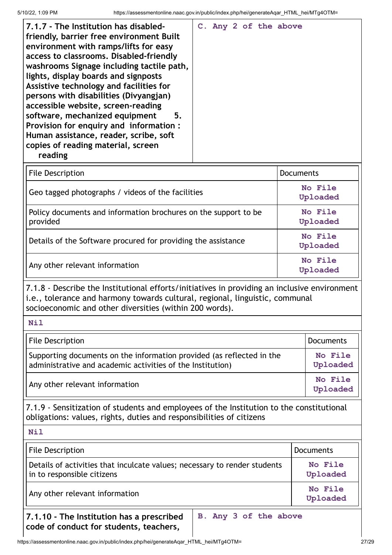| 7.1.7 - The Institution has disabled-<br>friendly, barrier free environment Built<br>environment with ramps/lifts for easy<br>access to classrooms. Disabled-friendly<br>washrooms Signage including tactile path,<br>lights, display boards and signposts<br>Assistive technology and facilities for<br>persons with disabilities (Divyangjan)<br>accessible website, screen-reading<br>software, mechanized equipment<br>5.<br>Provision for enquiry and information:<br>Human assistance, reader, scribe, soft<br>copies of reading material, screen<br>reading |  |  | C. Any 2 of the above |  |
|--------------------------------------------------------------------------------------------------------------------------------------------------------------------------------------------------------------------------------------------------------------------------------------------------------------------------------------------------------------------------------------------------------------------------------------------------------------------------------------------------------------------------------------------------------------------|--|--|-----------------------|--|
| <b>File Description</b>                                                                                                                                                                                                                                                                                                                                                                                                                                                                                                                                            |  |  | Documents             |  |

| File Description                                                            | <b>Documents</b>    |
|-----------------------------------------------------------------------------|---------------------|
| Geo tagged photographs / videos of the facilities                           | No File<br>Uploaded |
| Policy documents and information brochures on the support to be<br>provided | No File<br>Uploaded |
| Details of the Software procured for providing the assistance               | No File<br>Uploaded |
| Any other relevant information                                              | No File<br>Uploaded |

7.1.8 - Describe the Institutional efforts/initiatives in providing an inclusive environment i.e., tolerance and harmony towards cultural, regional, linguistic, communal socioeconomic and other diversities (within 200 words).

| <b>File Description</b>                                                                                                             | <b>Documents</b>    |
|-------------------------------------------------------------------------------------------------------------------------------------|---------------------|
| Supporting documents on the information provided (as reflected in the<br>administrative and academic activities of the Institution) | No File<br>Uploaded |
| Any other relevant information                                                                                                      | No File<br>Uploaded |

7.1.9 - Sensitization of students and employees of the Institution to the constitutional obligations: values, rights, duties and responsibilities of citizens

**Nil**

| <b>File Description</b>                                                                                       | <b>Documents</b>    |  |  |
|---------------------------------------------------------------------------------------------------------------|---------------------|--|--|
| Details of activities that inculcate values; necessary to render students<br>in to responsible citizens       | No File<br>Uploaded |  |  |
| Any other relevant information                                                                                | No File<br>Uploaded |  |  |
| B. Any 3 of the above<br>7.1.10 - The Institution has a prescribed<br>code of conduct for students, teachers, |                     |  |  |

https://assessmentonline.naac.gov.in/public/index.php/hei/generateAqar\_HTML\_hei/MTg4OTM= 27/29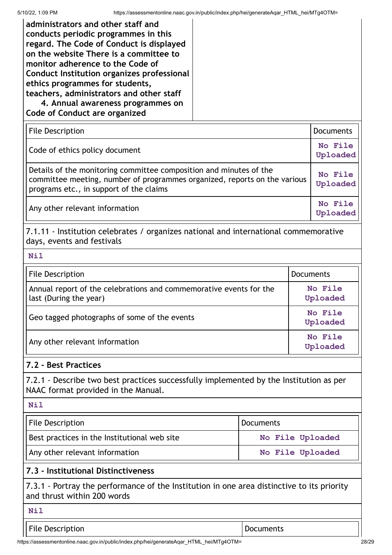| administrators and other staff and<br>conducts periodic programmes in this<br>regard. The Code of Conduct is displayed<br>on the website There is a committee to<br>monitor adherence to the Code of<br>Conduct Institution organizes professional<br>ethics programmes for students,<br>teachers, administrators and other staff<br>4. Annual awareness programmes on<br><b>Code of Conduct are organized</b> |                     |                     |                     |  |  |
|----------------------------------------------------------------------------------------------------------------------------------------------------------------------------------------------------------------------------------------------------------------------------------------------------------------------------------------------------------------------------------------------------------------|---------------------|---------------------|---------------------|--|--|
| <b>File Description</b>                                                                                                                                                                                                                                                                                                                                                                                        |                     |                     | <b>Documents</b>    |  |  |
| Code of ethics policy document                                                                                                                                                                                                                                                                                                                                                                                 |                     |                     | No File<br>Uploaded |  |  |
| Details of the monitoring committee composition and minutes of the<br>committee meeting, number of programmes organized, reports on the various<br>programs etc., in support of the claims                                                                                                                                                                                                                     |                     | No File<br>Uploaded |                     |  |  |
| Any other relevant information                                                                                                                                                                                                                                                                                                                                                                                 |                     |                     | No File<br>Uploaded |  |  |
| 7.1.11 - Institution celebrates / organizes national and international commemorative<br>days, events and festivals                                                                                                                                                                                                                                                                                             |                     |                     |                     |  |  |
| <b>Nil</b>                                                                                                                                                                                                                                                                                                                                                                                                     |                     |                     |                     |  |  |
| <b>File Description</b>                                                                                                                                                                                                                                                                                                                                                                                        |                     | <b>Documents</b>    |                     |  |  |
| Annual report of the celebrations and commemorative events for the<br>last (During the year)                                                                                                                                                                                                                                                                                                                   | No File<br>Uploaded |                     |                     |  |  |
| Geo tagged photographs of some of the events                                                                                                                                                                                                                                                                                                                                                                   |                     |                     | No File<br>Uploaded |  |  |
| Any other relevant information                                                                                                                                                                                                                                                                                                                                                                                 |                     |                     | No File<br>Uploaded |  |  |
| 7.2 - Best Practices                                                                                                                                                                                                                                                                                                                                                                                           |                     |                     |                     |  |  |
| 7.2.1 - Describe two best practices successfully implemented by the Institution as per<br>NAAC format provided in the Manual.                                                                                                                                                                                                                                                                                  |                     |                     |                     |  |  |
| <b>Nil</b>                                                                                                                                                                                                                                                                                                                                                                                                     |                     |                     |                     |  |  |
| <b>File Description</b>                                                                                                                                                                                                                                                                                                                                                                                        | Documents           |                     |                     |  |  |
| Best practices in the Institutional web site<br>No File Uploaded                                                                                                                                                                                                                                                                                                                                               |                     |                     |                     |  |  |
| Any other relevant information                                                                                                                                                                                                                                                                                                                                                                                 | No File Uploaded    |                     |                     |  |  |
| 7.3 - Institutional Distinctiveness                                                                                                                                                                                                                                                                                                                                                                            |                     |                     |                     |  |  |
| 7.3.1 - Portray the performance of the Institution in one area distinctive to its priority<br>and thrust within 200 words                                                                                                                                                                                                                                                                                      |                     |                     |                     |  |  |
| <b>Nil</b>                                                                                                                                                                                                                                                                                                                                                                                                     |                     |                     |                     |  |  |
| <b>File Description</b><br>Documents                                                                                                                                                                                                                                                                                                                                                                           |                     |                     |                     |  |  |